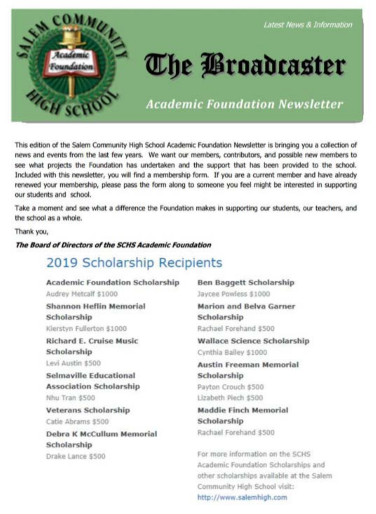

#### Latest News & Information

# **The Broadcaster**

**Academic Foundation Newsletter** 

This edition of the Salem Community High School Academic Foundation Newsletter is bringing you a collection of news and events from the last few years. We want our members, contributors, and possible new members to see what projects the Foundation has undertaken and the support that has been provided to the school. Included with this newsletter, you will find a membership form. If you are a current member and have already renewed your membership, please pass the form along to someone you feel might be interested in supporting our students and school.

Take a moment and see what a difference the Foundation makes in supporting our students, our teachers, and the school as a whole.

Thank you,

#### The Board of Directors of the SCHS Academic Foundation

### 2019 Scholarship Recipients

**Academic Foundation Scholarship** Audrey Metcalf \$1000 **Shannon Heflin Memorial** Scholarship Kierstyn Fullerton \$1000 **Richard E. Cruise Music** Scholarship Levi Austin \$500 Selmaville Educational **Association Scholarship** 

Nhu Tran \$500

**Veterans Scholarship** Catie Abrams \$500

Debra K McCullum Memorial Scholarship Drake Lance \$500

**Ben Baggett Scholarship** Jaycee Powless \$1000

**Marion and Belva Garner** Scholarship Rachael Forehand \$500

**Wallace Science Scholarship** Cynthia Bailey \$1000

**Austin Freeman Memorial** Scholarship Payton Crouch \$500 Lizabeth Piech \$500

**Maddie Finch Memorial** Scholarship Rachael Forehand \$500

For more information on the SCHS Academic Foundation Scholarships and other scholarships available at the Salem Community High School visit: http://www.salemhigh.com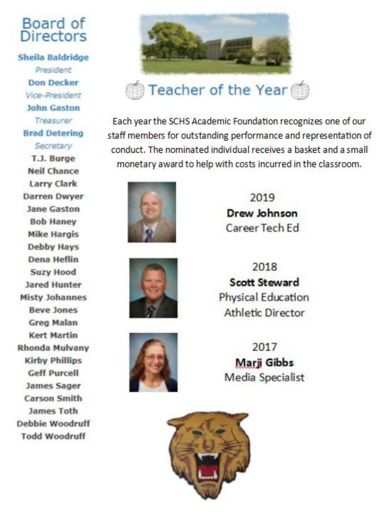### Board of **Directors**

**Sheila Baldridge** President **Don Decker** Vice-President **John Gaston** Treasurer **Brad Detering** Secretary

T.J. Burge **Neil Chance Larry Clark Darren Dwyer** Jane Gaston **Bob Hanev Mike Hargis Debby Hays Dena Heflin Suzy Hood Jared Hunter Misty Johannes Beve Jones Grea Malan Kert Martin Rhonda Mulvany Kirby Phillips Geff Purcell James Sager Carson Smith James Toth** Debbie Woodruff **Todd Woodruff** 



Each year the SCHS Academic Foundation recognizes one of our staff members for outstanding performance and representation of conduct. The nominated individual receives a basket and a small monetary award to help with costs incurred in the classroom.







2019 Drew Johnson Career Tech Ed

2018 **Scott Steward** Physical Education **Athletic Director** 

2017 **Marii Gibbs** Media Specialist

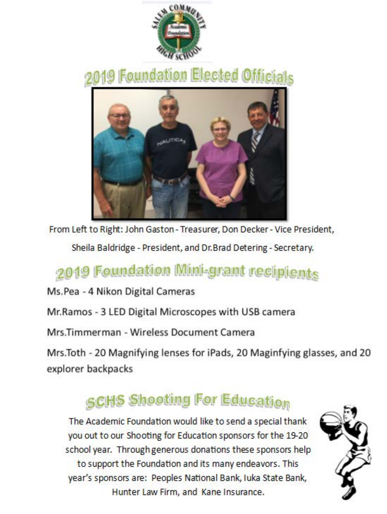

# 2019 Foundation Elected Officials



From Left to Right: John Gaston - Treasurer, Don Decker - Vice President,

Sheila Baldridge - President, and Dr. Brad Detering - Secretary.

## 2019 Foundation Mini-grant recipients

Ms.Pea - 4 Nikon Digital Cameras

Mr.Ramos - 3 LED Digital Microscopes with USB camera

Mrs.Timmerman - Wireless Document Camera

Mrs.Toth - 20 Magnifying lenses for iPads, 20 Maginfying glasses, and 20 explorer backpacks

# **SCHS Shooting For Education**

The Academic Foundation would like to send a special thank you out to our Shooting for Education sponsors for the 19-20 school year. Through generous donations these sponsors help to support the Foundation and its many endeavors. This year's sponsors are: Peoples National Bank, Juka State Bank, Hunter Law Firm, and Kane Insurance.

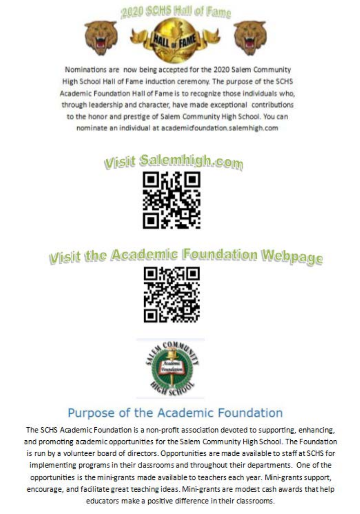

Nominations are now being accepted for the 2020 Salem Community High School Hall of Fame Induction ceremony. The purpose of the SCHS Academic Foundation Hall of Fame is to recognize those individuals who, through leadership and character, have made exceptional contributions to the honor and prestige of Salem Community High School. You can nominate an individual at academicfoundation.salemhigh.com

#### lemhigh.com Wisit Sa



# **Wisit the Academic Foundation Webpage**





### Purpose of the Academic Foundation

The SCHS Academic Foundation is a non-profit association devoted to supporting, enhancing, and promoting academic opportunities for the Salem Community High School. The Foundation is run by a volunteer board of directors. Opportunities are made available to staff at SCHS for implementing programs in their dassrooms and throughout their departments. One of the opportunities is the mini-grants made available to teachers each year. Mini-grants support, encourage, and fadilitate great teaching ideas. Mini-grants are modest cash awards that help educators make a positive difference in their classrooms.